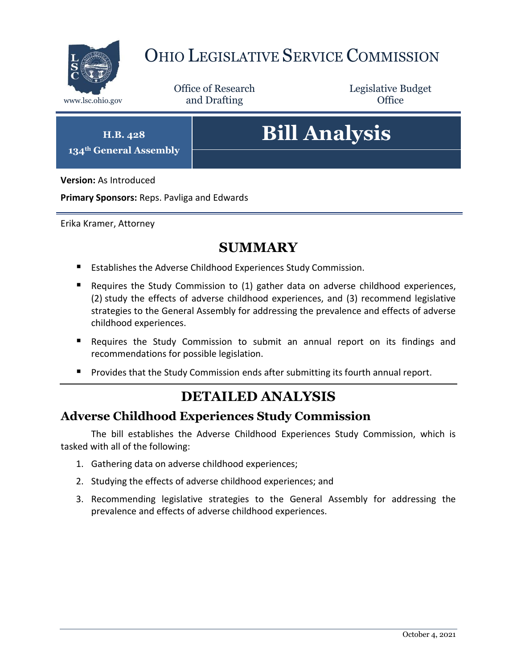

# OHIO LEGISLATIVE SERVICE COMMISSION

Office of Research www.lsc.ohio.gov **and Drafting Office** 

Legislative Budget

**H.B. 428 134th General Assembly**

# **Bill Analysis**

**Version:** As Introduced

**Primary Sponsors:** Reps. Pavliga and Edwards

Erika Kramer, Attorney

## **SUMMARY**

- Establishes the Adverse Childhood Experiences Study Commission.
- Requires the Study Commission to (1) gather data on adverse childhood experiences, (2) study the effects of adverse childhood experiences, and (3) recommend legislative strategies to the General Assembly for addressing the prevalence and effects of adverse childhood experiences.
- Requires the Study Commission to submit an annual report on its findings and recommendations for possible legislation.
- **Provides that the Study Commission ends after submitting its fourth annual report.**

### **DETAILED ANALYSIS**

#### **Adverse Childhood Experiences Study Commission**

The bill establishes the Adverse Childhood Experiences Study Commission, which is tasked with all of the following:

- 1. Gathering data on adverse childhood experiences;
- 2. Studying the effects of adverse childhood experiences; and
- 3. Recommending legislative strategies to the General Assembly for addressing the prevalence and effects of adverse childhood experiences.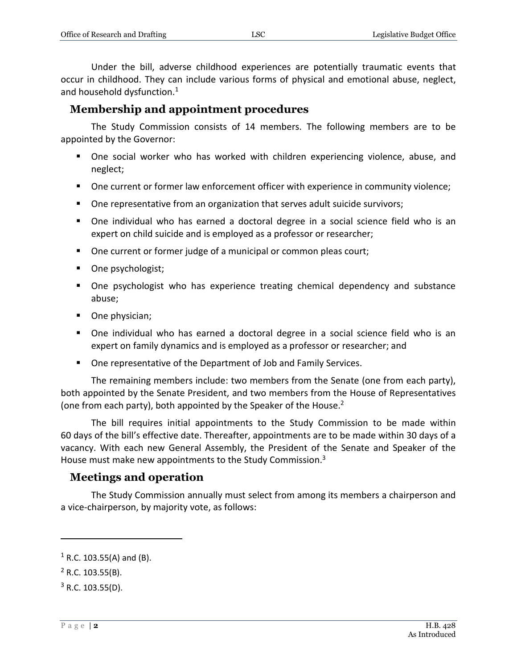Under the bill, adverse childhood experiences are potentially traumatic events that occur in childhood. They can include various forms of physical and emotional abuse, neglect, and household dysfunction.<sup>1</sup>

#### **Membership and appointment procedures**

The Study Commission consists of 14 members. The following members are to be appointed by the Governor:

- One social worker who has worked with children experiencing violence, abuse, and neglect;
- **Dimember 1** One current or former law enforcement officer with experience in community violence;
- One representative from an organization that serves adult suicide survivors;
- One individual who has earned a doctoral degree in a social science field who is an expert on child suicide and is employed as a professor or researcher;
- One current or former judge of a municipal or common pleas court;
- One psychologist;
- One psychologist who has experience treating chemical dependency and substance abuse;
- One physician;
- One individual who has earned a doctoral degree in a social science field who is an expert on family dynamics and is employed as a professor or researcher; and
- One representative of the Department of Job and Family Services.

The remaining members include: two members from the Senate (one from each party), both appointed by the Senate President, and two members from the House of Representatives (one from each party), both appointed by the Speaker of the House.<sup>2</sup>

The bill requires initial appointments to the Study Commission to be made within 60 days of the bill's effective date. Thereafter, appointments are to be made within 30 days of a vacancy. With each new General Assembly, the President of the Senate and Speaker of the House must make new appointments to the Study Commission.<sup>3</sup>

#### **Meetings and operation**

The Study Commission annually must select from among its members a chairperson and a vice-chairperson, by majority vote, as follows:

 $\overline{a}$ 

 $1$  R.C. 103.55(A) and (B).

 $^{2}$  R.C. 103.55(B).

 $3$  R.C. 103.55(D).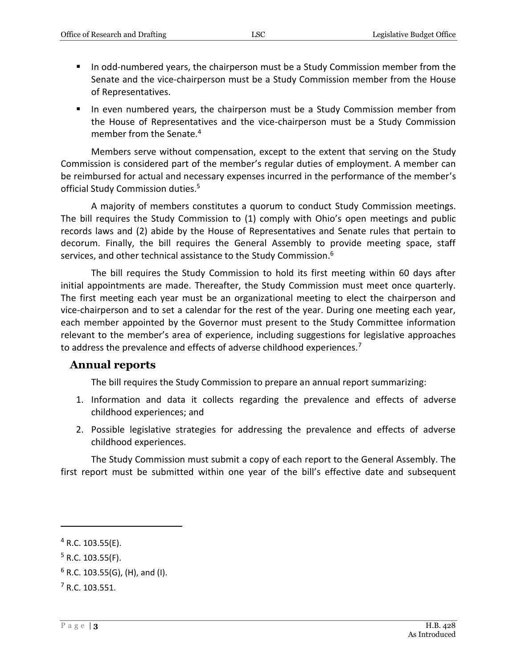- In odd-numbered years, the chairperson must be a Study Commission member from the Senate and the vice-chairperson must be a Study Commission member from the House of Representatives.
- In even numbered years, the chairperson must be a Study Commission member from the House of Representatives and the vice-chairperson must be a Study Commission member from the Senate.<sup>4</sup>

Members serve without compensation, except to the extent that serving on the Study Commission is considered part of the member's regular duties of employment. A member can be reimbursed for actual and necessary expenses incurred in the performance of the member's official Study Commission duties. 5

A majority of members constitutes a quorum to conduct Study Commission meetings. The bill requires the Study Commission to (1) comply with Ohio's open meetings and public records laws and (2) abide by the House of Representatives and Senate rules that pertain to decorum. Finally, the bill requires the General Assembly to provide meeting space, staff services, and other technical assistance to the Study Commission.<sup>6</sup>

The bill requires the Study Commission to hold its first meeting within 60 days after initial appointments are made. Thereafter, the Study Commission must meet once quarterly. The first meeting each year must be an organizational meeting to elect the chairperson and vice-chairperson and to set a calendar for the rest of the year. During one meeting each year, each member appointed by the Governor must present to the Study Committee information relevant to the member's area of experience, including suggestions for legislative approaches to address the prevalence and effects of adverse childhood experiences.<sup>7</sup>

#### **Annual reports**

The bill requires the Study Commission to prepare an annual report summarizing:

- 1. Information and data it collects regarding the prevalence and effects of adverse childhood experiences; and
- 2. Possible legislative strategies for addressing the prevalence and effects of adverse childhood experiences.

The Study Commission must submit a copy of each report to the General Assembly. The first report must be submitted within one year of the bill's effective date and subsequent

 $\overline{a}$ 

 $4$  R.C. 103.55(E).

 $5$  R.C. 103.55(F).

 $6$  R.C. 103.55(G), (H), and (I).

 $7 R.C. 103.551.$